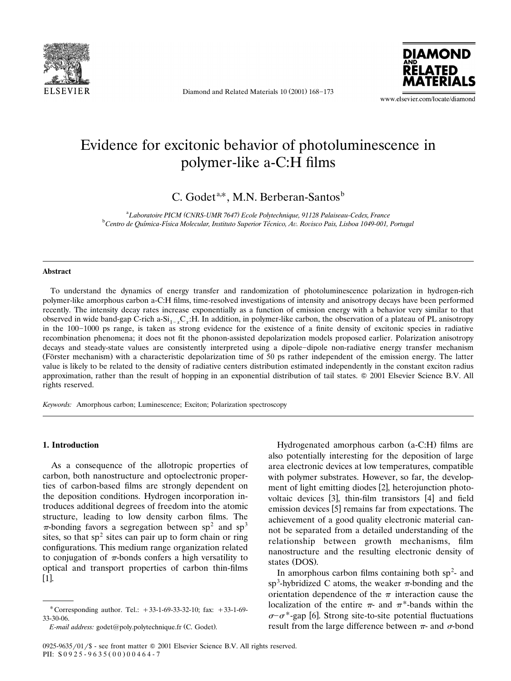

Diamond and Related Materials 10 (2001) 168-173



www.elsevier.com/locate/diamond

# Evidence for excitonic behavior of photoluminescence in polymer-like a-C:H films

C. Godet<sup>a,\*</sup>, M.N. Berberan-Santos<sup>b</sup>

<sup>a</sup> Laboratoire PICM (CNRS-UMR 7647) Ecole Polytechnique, 91128 Palaiseau-Cedex, France<br><sup>b</sup>Centre de Ovímice Físice Melegyler, Institute Synerier Téories, Ay Povisce Pais, Lisbog 1040,001 <sup>b</sup> Centro de Química-Física Molecular, Instituto Superior Técnico, Av. Rovisco Pais, Lisboa 1049-001, Portugal

#### **Abstract**

To understand the dynamics of energy transfer and randomization of photoluminescence polarization in hydrogen-rich polymer-like amorphous carbon a-C:H films, time-resolved investigations of intensity and anisotropy decays have been performed recently. The intensity decay rates increase exponentially as a function of emission energy with a behavior very similar to that observed in wide band-gap C-rich a-Si<sub>1-x</sub>C<sub>x</sub>:H. In addition, in polymer-like carbon, the observation of a plateau of PL anisotropy in the 100-1000 ps range, is taken as strong evidence for the existence of a finite density of excitonic species in radiative recombination phenomena; it does not fit the phonon-assisted depolarization models proposed earlier. Polarization anisotropy decays and steady-state values are consistently interpreted using a dipole-dipole non-radiative energy transfer mechanism (Förster mechanism) with a characteristic depolarization time of 50 ps rather independent of the emission energy. The latter value is likely to be related to the density of radiative centers distribution estimated independently in the constant exciton radius approximation, rather than the result of hopping in an exponential distribution of tail states.  $\circ$  2001 Elsevier Science B.V. All rights reserved.

*Keywords:* Amorphous carbon; Luminescence; Exciton; Polarization spectroscopy

### **1. Introduction**

As a consequence of the allotropic properties of carbon, both nanostructure and optoelectronic properties of carbon-based films are strongly dependent on the deposition conditions. Hydrogen incorporation introduces additional degrees of freedom into the atomic structure, leading to low density carbon films. The  $\pi$ -bonding favors a segregation between sp<sup>2</sup> and sp<sup>3</sup> sites, so that  $sp<sup>2</sup>$  sites can pair up to form chain or ring configurations. This medium range organization related to conjugation of  $\pi$ -bonds confers a high versatility to optical and transport properties of carbon thin-films  $[1]$ .

Hydrogenated amorphous carbon  $(a-C:H)$  films are also potentially interesting for the deposition of large area electronic devices at low temperatures, compatible with polymer substrates. However, so far, the development of light emitting diodes [2], heterojunction photovoltaic devices [3], thin-film transistors [4] and field emission devices [5] remains far from expectations. The achievement of a good quality electronic material cannot be separated from a detailed understanding of the relationship between growth mechanisms, film nanostructure and the resulting electronic density of states (DOS).

In amorphous carbon films containing both  $sp<sup>2</sup>$ - and sp<sup>3</sup>-hybridized C atoms, the weaker  $\pi$ -bonding and the orientation dependence of the  $\pi$  interaction cause the localization of the entire  $\pi$ - and  $\pi$ <sup>\*</sup>-bands within the  $\sigma$ – $\sigma$ \*-gap [6]. Strong site-to-site potential fluctuations result from the large difference between  $\pi$ - and  $\sigma$ -bond

<sup>\*</sup> Corresponding author. Tel.:  $+33-1-69-33-32-10$ ; fax:  $+33-1-69-$ 33-30-06.

*E-mail address:* godet@poly.polytechnique.fr (C. Godet).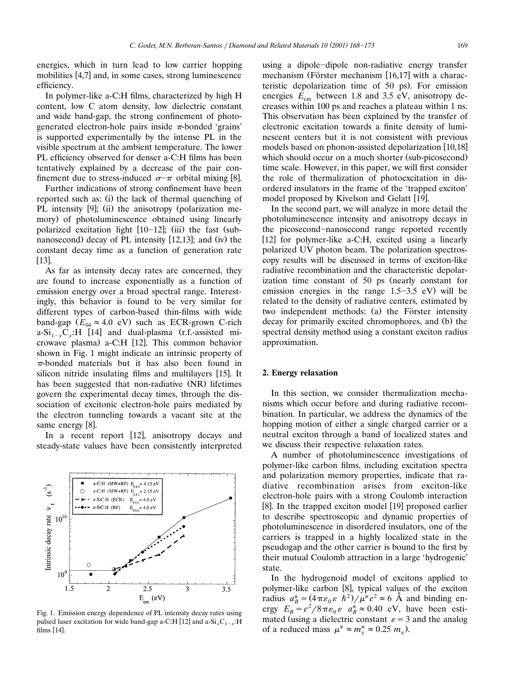energies, which in turn lead to low carrier hopping mobilities [4,7] and, in some cases, strong luminescence efficiency.

In polymer-like a-C:H films, characterized by high H content, low C atom density, low dielectric constant and wide band-gap, the strong confinement of photogenerated electron-hole pairs inside  $\pi$ -bonded 'grains' is supported experimentally by the intense PL in the visible spectrum at the ambient temperature. The lower PL efficiency observed for denser a-C:H films has been tentatively explained by a decrease of the pair confinement due to stress-induced  $\sigma-\pi$  orbital mixing [8].

Further indications of strong confinement have been reported such as: (i) the lack of thermal quenching of PL intensity [9]; (ii) the anisotropy (polarization memory) of photoluminescence obtained using linearly polarized excitation light [10-12]; (iii) the fast (subnanosecond) decay of PL intensity [12,13]; and (iv) the constant decay time as a function of generation rate  $[13]$ .

As far as intensity decay rates are concerned, they are found to increase exponentially as a function of emission energy over a broad spectral range. Interestingly, this behavior is found to be very similar for different types of carbon-based thin-films with wide band-gap  $(E_{04} \approx 4.0 \text{ eV})$  such as ECR-grown C-rich a-Si<sub>1- $x$ </sub>C<sub>x</sub>:H [14] and dual-plasma (r.f.-assisted microwave plasma) a-C:H [12]. This common behavior shown in Fig. 1 might indicate an intrinsic property of  $\pi$ -bonded materials but it has also been found in silicon nitride insulating films and multilayers [15]. It has been suggested that non-radiative (NR) lifetimes govern the experimental decay times, through the dissociation of excitonic electron-hole pairs mediated by the electron tunneling towards a vacant site at the same energy [8].

In a recent report [12], anisotropy decays and steady-state values have been consistently interpreted



Fig. 1. Emission energy dependence of PL intensity decay rates using pulsed laser excitation for wide band-gap a-C:H [12] and a-Si<sub>x</sub>C<sub>1-x</sub>:H films [14].

using a dipole-dipole non-radiative energy transfer mechanism (Förster mechanism [16,17] with a characteristic depolarization time of 50 ps). For emission energies  $E_{\text{em}}$  between 1.8 and 3.5 eV, anisotropy decreases within 100 ps and reaches a plateau within 1 ns. This observation has been explained by the transfer of electronic excitation towards a finite density of luminescent centers but it is not consistent with previous models based on phonon-assisted depolarization [10,18] which should occur on a much shorter (sub-picosecond) time scale. However, in this paper, we will first consider the role of thermalization of photoexcitation in disordered insulators in the frame of the 'trapped exciton' model proposed by Kivelson and Gelatt [19].

In the second part, we will analyze in more detail the photoluminescence intensity and anisotropy decays in the picosecond-nanosecond range reported recently [12] for polymer-like a-C:H, excited using a linearly polarized UV photon beam. The polarization spectroscopy results will be discussed in terms of exciton-like radiative recombination and the characteristic depolarization time constant of  $50$  ps (nearly constant for emission energies in the range  $1.5-3.5$  eV) will be related to the density of radiative centers, estimated by two independent methods: (a) the Förster intensity decay for primarily excited chromophores, and (b) the spectral density method using a constant exciton radius approximation.

## **2. Energy relaxation**

In this section, we consider thermalization mechanisms which occur before and during radiative recombination. In particular, we address the dynamics of the hopping motion of either a single charged carrier or a neutral exciton through a band of localized states and we discuss their respective relaxation rates.

A number of photoluminescence investigations of polymer-like carbon films, including excitation spectra and polarization memory properties, indicate that radiative recombination arises from exciton-like electron-hole pairs with a strong Coulomb interaction [8]. In the trapped exciton model [19] proposed earlier to describe spectroscopic and dynamic properties of photoluminescence in disordered insulators, one of the carriers is trapped in a highly localized state in the pseudogap and the other carrier is bound to the first by their mutual Coulomb attraction in a large 'hydrogenic' state.

In the hydrogenoid model of excitons applied to polymer-like carbon [8], typical values of the exciton radius  $a_B^* = (4\pi\varepsilon_0 \varepsilon \hbar^2)/\mu^* e^2 \approx 6$  Å and binding energy  $E_B = e^2/8 \pi \varepsilon_0 \varepsilon$   $a_B^* \approx 0.40$  eV, have been estimated (using a dielectric constant  $\varepsilon = 3$  and the analog of a reduced mass  $\mu^* \approx m_e^* \approx 0.25$   $m_e$ ).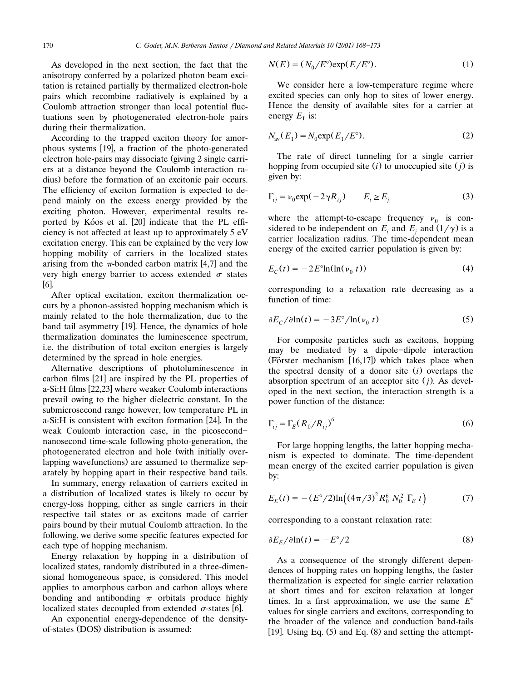As developed in the next section, the fact that the anisotropy conferred by a polarized photon beam excitation is retained partially by thermalized electron-hole pairs which recombine radiatively is explained by a Coulomb attraction stronger than local potential fluctuations seen by photogenerated electron-hole pairs during their thermalization.

According to the trapped exciton theory for amorphous systems [19], a fraction of the photo-generated electron hole-pairs may dissociate (giving 2 single carriers at a distance beyond the Coulomb interaction radius) before the formation of an excitonic pair occurs. The efficiency of exciton formation is expected to depend mainly on the excess energy provided by the exciting photon. However, experimental results reported by Kóos et al. [20] indicate that the PL efficiency is not affected at least up to approximately 5 eV excitation energy. This can be explained by the very low hopping mobility of carriers in the localized states arising from the  $\pi$ -bonded carbon matrix [4,7] and the very high energy barrier to access extended  $\sigma$  states  $[6]$ .

After optical excitation, exciton thermalization occurs by a phonon-assisted hopping mechanism which is mainly related to the hole thermalization, due to the band tail asymmetry [19]. Hence, the dynamics of hole thermalization dominates the luminescence spectrum, i.e. the distribution of total exciton energies is largely determined by the spread in hole energies.

Alternative descriptions of photoluminescence in carbon films [21] are inspired by the PL properties of a-Si:H films [22,23] where weaker Coulomb interactions prevail owing to the higher dielectric constant. In the submicrosecond range however, low temperature PL in a-Si:H is consistent with exciton formation [24]. In the weak Coulomb interaction case, in the picosecond nanosecond time-scale following photo-generation, the photogenerated electron and hole (with initially overlapping wavefunctions) are assumed to thermalize separately by hopping apart in their respective band tails.

In summary, energy relaxation of carriers excited in a distribution of localized states is likely to occur by energy-loss hopping, either as single carriers in their respective tail states or as excitons made of carrier pairs bound by their mutual Coulomb attraction. In the following, we derive some specific features expected for each type of hopping mechanism.

Energy relaxation by hopping in a distribution of localized states, randomly distributed in a three-dimensional homogeneous space, is considered. This model applies to amorphous carbon and carbon alloys where bonding and antibonding  $\pi$  orbitals produce highly localized states decoupled from extended  $\sigma$ -states [6].

An exponential energy-dependence of the densityof-states (DOS) distribution is assumed:

$$
N(E) = (N_0/E^{\circ}) \exp(E/E^{\circ}).
$$
 (1)

We consider here a low-temperature regime where excited species can only hop to sites of lower energy. Hence the density of available sites for a carrier at energy  $E_I$  is:

$$
N_{\rm av}(E_1) = N_0 \exp(E_1/E^{\circ}).
$$
 (2)

The rate of direct tunneling for a single carrier hopping from occupied site  $(i)$  to unoccupied site  $(j)$  is given by:

$$
\Gamma_{ij} = \nu_0 \exp(-2\gamma R_{ij}) \qquad E_i \ge E_j \tag{3}
$$

where the attempt-to-escape frequency  $v_0$  is considered to be independent on  $E_i$  and  $E_j$  and  $(1/\gamma)$  is a carrier localization radius. The time-dependent mean energy of the excited carrier population is given by:

$$
E_C(t) = -2E^{\circ} \ln(\ln(v_0 \ t))\tag{4}
$$

corresponding to a relaxation rate decreasing as a function of time:

$$
\partial E_C / \partial \ln(t) = -3E^{\circ} / \ln(v_0 \ t)
$$
 (5)

For composite particles such as excitons, hopping may be mediated by a dipole-dipole interaction (Förster mechanism  $[16,17]$ ) which takes place when the spectral density of a donor site  $(i)$  overlaps the absorption spectrum of an acceptor site  $(j)$ . As developed in the next section, the interaction strength is a power function of the distance:

$$
\Gamma_{ij} = \Gamma_E (R_0/R_{ij})^6 \tag{6}
$$

For large hopping lengths, the latter hopping mechanism is expected to dominate. The time-dependent mean energy of the excited carrier population is given by:

$$
E_E(t) = -(E^{\circ}/2) \ln \left( (4\pi/3)^2 R_0^6 N_0^2 \Gamma_E t \right)
$$
 (7)

corresponding to a constant relaxation rate:

$$
\partial E_E / \partial \ln(t) = -E^{\circ}/2 \tag{8}
$$

As a consequence of the strongly different dependences of hopping rates on hopping lengths, the faster thermalization is expected for single carrier relaxation at short times and for exciton relaxation at longer times. In a first approximation, we use the same  $E^{\circ}$ values for single carriers and excitons, corresponding to the broader of the valence and conduction band-tails [19]. Using Eq.  $(5)$  and Eq.  $(8)$  and setting the attempt-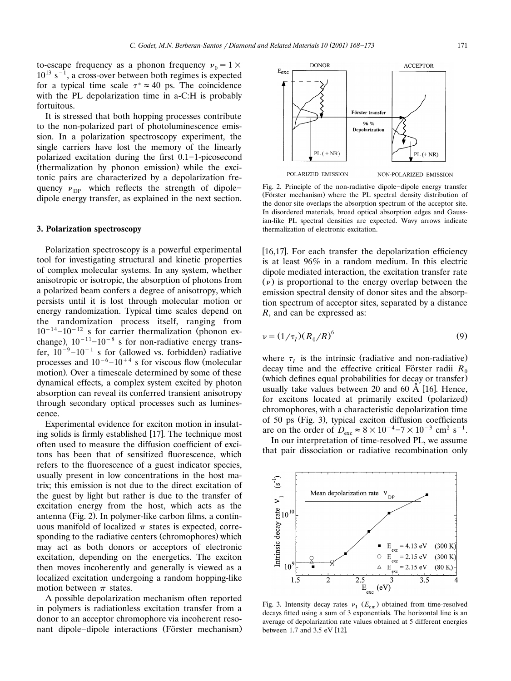It is stressed that both hopping processes contribute to the non-polarized part of photoluminescence emission. In a polarization spectroscopy experiment, the single carriers have lost the memory of the linearly polarized excitation during the first  $0.1-1$ -picosecond (thermalization by phonon emission) while the excitonic pairs are characterized by a depolarization frequency  $v_{\text{DP}}$  which reflects the strength of dipoledipole energy transfer, as explained in the next section.

## **3. Polarization spectroscopy**

Polarization spectroscopy is a powerful experimental tool for investigating structural and kinetic properties of complex molecular systems. In any system, whether anisotropic or isotropic, the absorption of photons from a polarized beam confers a degree of anisotropy, which persists until it is lost through molecular motion or energy randomization. Typical time scales depend on the randomization process itself, ranging from  $10^{-14}$  -10<sup>-12</sup> s for carrier thermalization (phonon exchange),  $10^{-11}$ - $10^{-8}$  s for non-radiative energy transfer,  $10^{-9}$ - $10^{-1}$  s for (allowed vs. forbidden) radiative processes and  $10^{-6}$ - $10^{+4}$  s for viscous flow (molecular motion). Over a timescale determined by some of these dynamical effects, a complex system excited by photon absorption can reveal its conferred transient anisotropy through secondary optical processes such as luminescence.

Experimental evidence for exciton motion in insulating solids is firmly established [17]. The technique most often used to measure the diffusion coefficient of excitons has been that of sensitized fluorescence, which refers to the fluorescence of a guest indicator species, usually present in low concentrations in the host matrix; this emission is not due to the direct excitation of the guest by light but rather is due to the transfer of excitation energy from the host, which acts as the antenna (Fig. 2). In polymer-like carbon films, a continuous manifold of localized  $\pi$  states is expected, corresponding to the radiative centers (chromophores) which may act as both donors or acceptors of electronic excitation, depending on the energetics. The exciton then moves incoherently and generally is viewed as a localized excitation undergoing a random hopping-like motion between  $\pi$  states.

A possible depolarization mechanism often reported in polymers is radiationless excitation transfer from a donor to an acceptor chromophore via incoherent resonant dipole-dipole interactions (Förster mechanism)

Fig. 2. Principle of the non-radiative dipole-dipole energy transfer (Förster mechanism) where the PL spectral density distribution of the donor site overlaps the absorption spectrum of the acceptor site. In disordered materials, broad optical absorption edges and Gaussian-like PL spectral densities are expected. Wavy arrows indicate thermalization of electronic excitation.

[16,17]. For each transfer the depolarization efficiency is at least 96% in a random medium. In this electric dipole mediated interaction, the excitation transfer rate  $(\nu)$  is proportional to the energy overlap between the emission spectral density of donor sites and the absorption spectrum of acceptor sites, separated by a distance *R*, and can be expressed as:

$$
\nu = (1/\tau_I)(R_0/R)^6
$$
 (9)

where  $\tau_{I}$  is the intrinsic (radiative and non-radiative) decay time and the effective critical Förster radii  $R_0$ (which defines equal probabilities for decay or transfer) usually take values between 20 and 60  $\AA$  [16]. Hence, for excitons located at primarily excited (polarized) chromophores, with a characteristic depolarization time of 50 ps (Fig. 3), typical exciton diffusion coefficients are on the order of  $D_{\text{exc}} \approx 8 \times 10^{-4} - 7 \times 10^{-3} \text{ cm}^2 \text{ s}^{-1}$ .

In our interpretation of time-resolved PL, we assume that pair dissociation or radiative recombination only



( ق) Mean depolarization rate Intrinsic decay rate  $V_{I}$ <br> $V_{B}$ **DP**  $= 4.13$  eV  $(300 K)$  $\frac{\text{exc}}{\text{exc}}$  = 2.15 eV  $O$   $E$  $(300K)$  $10^{\circ}$  $\triangle$  E  $= 2.15$  eV  $(80 K)$  $1.\overline{5}$ ぅ  $\overline{2.5}$  $\overline{3.5}$ 3  $E$  $(eV)$ 

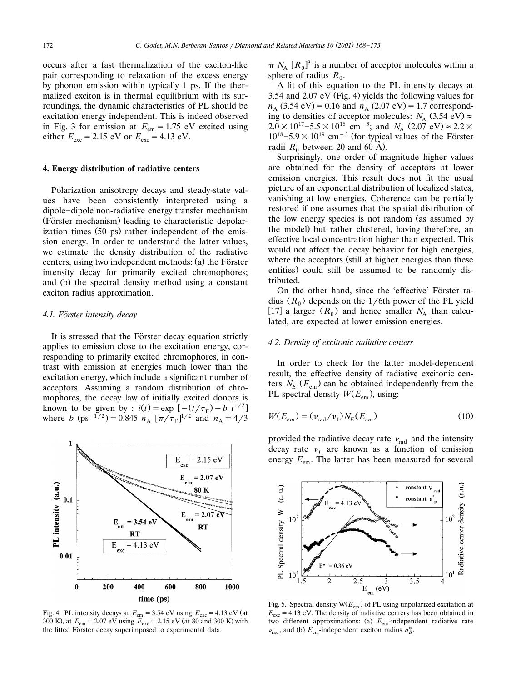occurs after a fast thermalization of the exciton-like pair corresponding to relaxation of the excess energy by phonon emission within typically 1 ps. If the thermalized exciton is in thermal equilibrium with its surroundings, the dynamic characteristics of PL should be excitation energy independent. This is indeed observed in Fig. 3 for emission at  $E_{em} = 1.75$  eV excited using either  $E_{\text{exc}} = 2.15 \text{ eV}$  or  $E_{\text{exc}} = 4.13 \text{ eV}$ .

#### **4. Energy distribution of radiative centers**

Polarization anisotropy decays and steady-state values have been consistently interpreted using a dipole-dipole non-radiative energy transfer mechanism (Förster mechanism) leading to characteristic depolarization times  $(50 \text{ ps})$  rather independent of the emission energy. In order to understand the latter values, we estimate the density distribution of the radiative centers, using two independent methods: (a) the Förster intensity decay for primarily excited chromophores; and (b) the spectral density method using a constant exciton radius approximation.

## *4.1. Forster intensity decay* ¨

It is stressed that the Förster decay equation strictly applies to emission close to the excitation energy, corresponding to primarily excited chromophores, in contrast with emission at energies much lower than the excitation energy, which include a significant number of acceptors. Assuming a random distribution of chromophores, the decay law of initially excited donors is known to be given by :  $i(t) = \exp[-(t/\tau_F) - b \ t^{1/2}]$ where *b* (ps<sup>-1/2</sup>) = 0.845  $n_A$  [ $\pi/\tau_F$ ]<sup>1/2</sup> and  $n_A = 4/3$ 



Fig. 4. PL intensity decays at  $E_{em} = 3.54$  eV using  $E_{exc} = 4.13$  eV (at 300 K), at  $E_{\text{em}} = 2.07 \text{ eV}$  using  $E_{\text{exc}} = 2.15 \text{ eV}$  (at 80 and 300 K) with the fitted Förster decay superimposed to experimental data.

 $\pi N_A$   $[R_0]^3$  is a number of acceptor molecules within a sphere of radius  $R_0$ .

A fit of this equation to the PL intensity decays at 3.54 and 2.07 eV (Fig. 4) yields the following values for  $n_A$  (3.54 eV) = 0.16 and  $n_A$  (2.07 eV) = 1.7 corresponding to densities of acceptor molecules:  $N_A$  (3.54 eV)  $\approx$  2.0 × 10<sup>17</sup> -5.5 × 10<sup>18</sup> cm<sup>-3</sup>; and  $N_A$  (2.07 eV)  $\approx$  2.2 × 10<sup>18</sup> -5.9 × 10<sup>19</sup> cm<sup>-3</sup> (for typical values of the Förster radii  $R_0$  between 20 and 60 Å).

Surprisingly, one order of magnitude higher values are obtained for the density of acceptors at lower emission energies. This result does not fit the usual picture of an exponential distribution of localized states, vanishing at low energies. Coherence can be partially restored if one assumes that the spatial distribution of the low energy species is not random (as assumed by the model) but rather clustered, having therefore, an effective local concentration higher than expected. This would not affect the decay behavior for high energies, where the acceptors (still at higher energies than these entities) could still be assumed to be randomly distributed.

On the other hand, since the 'effective' Förster radius  $\langle R_0 \rangle$  depends on the 1/6th power of the PL yield [17] a larger  $\langle R_0 \rangle$  and hence smaller  $N_A$  than calculated, are expected at lower emission energies.

# *4.2. Density of excitonic radiatie centers*

In order to check for the latter model-dependent result, the effective density of radiative excitonic centers  $N_E$  ( $E_{em}$ ) can be obtained independently from the PL spectral density  $W(E_{em})$ , using:

$$
W(E_{em}) = (\nu_{\text{rad}}/\nu_1) N_E(E_{em})
$$
\n(10)

provided the radiative decay rate  $v_{\text{rad}}$  and the intensity decay rate  $\nu_I$  are known as a function of emission energy  $E_{em}$ . The latter has been measured for several



Fig. 5. Spectral density  $W(E_{em})$  of PL using unpolarized excitation at  $E_{\text{exc}}$  = 4.13 eV. The density of radiative centers has been obtained in two different approximations: (a)  $E_{em}$ -independent radiative rate  $\nu_{\text{rad}}$ , and (b)  $E_{\text{em}}$ -independent exciton radius  $a_B^*$ .